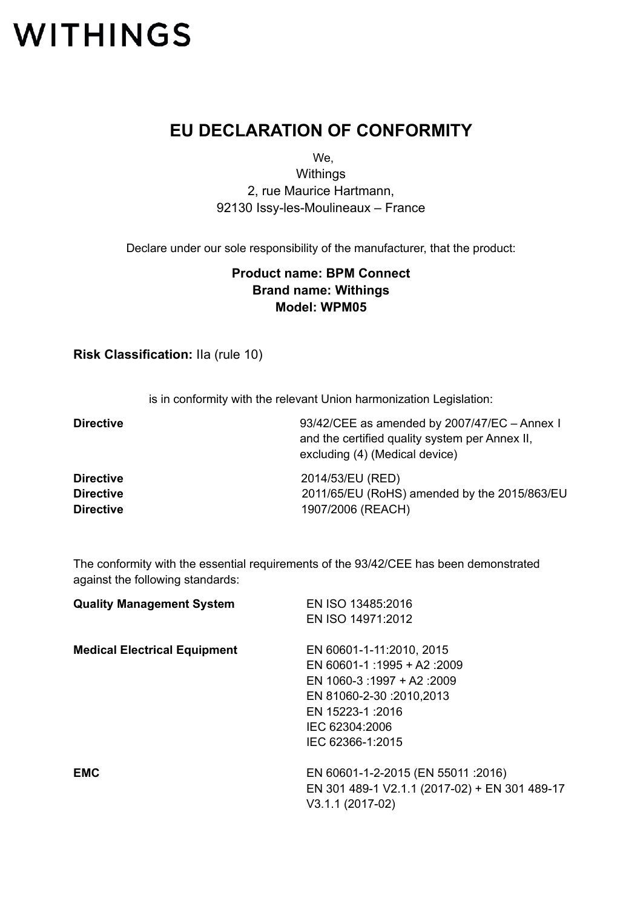## **WITHINGS**

## **EU DECLARATION OF CONFORMITY**

We,

**Withings** 2, rue Maurice Hartmann, 92130 Issy-les-Moulineaux – France

Declare under our sole responsibility of the manufacturer, that the product:

## **Product name: BPM Connect Brand name: Withings Model: WPM05**

**Risk Classification:** IIa (rule 10)

is in conformity with the relevant Union harmonization Legislation:

**Directive** 93/42/CEE as amended by 2007/47/EC – Annex I and the certified quality system per Annex II, excluding (4) (Medical device) **Directive** 2014/53/EU (RED) **Directive** 2011/65/EU (RoHS) amended by the 2015/863/EU **Directive** 1907/2006 (REACH)

The conformity with the essential requirements of the 93/42/CEE has been demonstrated against the following standards:

| EN ISO 13485:2016                             |
|-----------------------------------------------|
| EN ISO 14971:2012                             |
| EN 60601-1-11:2010, 2015                      |
| EN 60601-1 :1995 + A2 :2009                   |
| EN 1060-3:1997 + A2:2009                      |
| EN 81060-2-30 :2010,2013                      |
| EN 15223-1:2016                               |
| IEC 62304:2006                                |
| IEC 62366-1:2015                              |
| EN 60601-1-2-2015 (EN 55011 :2016)            |
| EN 301 489-1 V2.1.1 (2017-02) + EN 301 489-17 |
| $V3.1.1(2017-02)$                             |
|                                               |